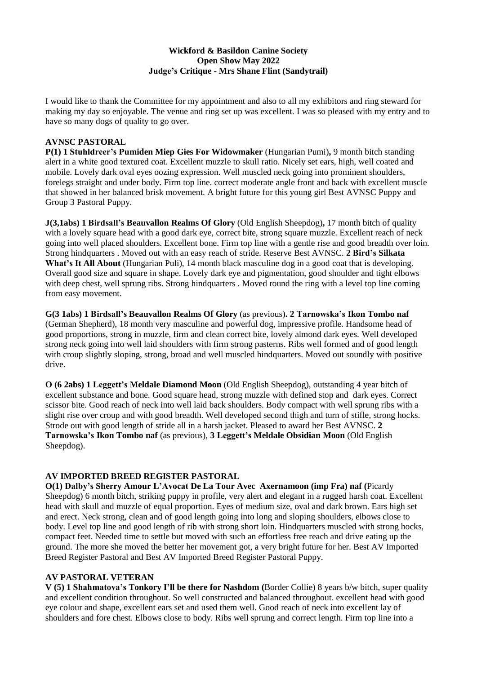# **Wickford & Basildon Canine Society Open Show May 2022 Judge's Critique - Mrs Shane Flint (Sandytrail)**

I would like to thank the Committee for my appointment and also to all my exhibitors and ring steward for making my day so enjoyable. The venue and ring set up was excellent. I was so pleased with my entry and to have so many dogs of quality to go over.

#### **AVNSC PASTORAL**

**P(1) 1 Stuhldreer's Pumiden Miep Gies For Widowmaker** (Hungarian Pumi)**,** 9 month bitch standing alert in a white good textured coat. Excellent muzzle to skull ratio. Nicely set ears, high, well coated and mobile. Lovely dark oval eyes oozing expression. Well muscled neck going into prominent shoulders, forelegs straight and under body. Firm top line. correct moderate angle front and back with excellent muscle that showed in her balanced brisk movement. A bright future for this young girl Best AVNSC Puppy and Group 3 Pastoral Puppy.

**J(3,1abs) 1 Birdsall's Beauvallon Realms Of Glory** (Old English Sheepdog)**,** 17 month bitch of quality with a lovely square head with a good dark eye, correct bite, strong square muzzle. Excellent reach of neck going into well placed shoulders. Excellent bone. Firm top line with a gentle rise and good breadth over loin. Strong hindquarters . Moved out with an easy reach of stride. Reserve Best AVNSC. **2 Bird's Silkata What's It All About** (Hungarian Puli), 14 month black masculine dog in a good coat that is developing. Overall good size and square in shape. Lovely dark eye and pigmentation, good shoulder and tight elbows with deep chest, well sprung ribs. Strong hindquarters . Moved round the ring with a level top line coming from easy movement.

**G(3 1abs) 1 Birdsall's Beauvallon Realms Of Glory** (as previous)**. 2 Tarnowska's Ikon Tombo naf** (German Shepherd), 18 month very masculine and powerful dog, impressive profile. Handsome head of good proportions, strong in muzzle, firm and clean correct bite, lovely almond dark eyes. Well developed strong neck going into well laid shoulders with firm strong pasterns. Ribs well formed and of good length with croup slightly sloping, strong, broad and well muscled hindquarters. Moved out soundly with positive drive.

**O (6 2abs) 1 Leggett's Meldale Diamond Moon** (Old English Sheepdog), outstanding 4 year bitch of excellent substance and bone. Good square head, strong muzzle with defined stop and dark eyes. Correct scissor bite. Good reach of neck into well laid back shoulders. Body compact with well sprung ribs with a slight rise over croup and with good breadth. Well developed second thigh and turn of stifle, strong hocks. Strode out with good length of stride all in a harsh jacket. Pleased to award her Best AVNSC. **2 Tarnowska's Ikon Tombo naf** (as previous), **3 Leggett's Meldale Obsidian Moon** (Old English Sheepdog).

# **AV IMPORTED BREED REGISTER PASTORAL**

**O(1) Dalby's Sherry Amour L'Avocat De La Tour Avec Axernamoon (imp Fra) naf (**Picardy Sheepdog) 6 month bitch, striking puppy in profile, very alert and elegant in a rugged harsh coat. Excellent head with skull and muzzle of equal proportion. Eyes of medium size, oval and dark brown. Ears high set and erect. Neck strong, clean and of good length going into long and sloping shoulders, elbows close to body. Level top line and good length of rib with strong short loin. Hindquarters muscled with strong hocks, compact feet. Needed time to settle but moved with such an effortless free reach and drive eating up the ground. The more she moved the better her movement got, a very bright future for her. Best AV Imported Breed Register Pastoral and Best AV Imported Breed Register Pastoral Puppy.

# **AV PASTORAL VETERAN**

**V (5) 1 Shahmatova's Tonkory I'll be there for Nashdom (**Border Collie) 8 years b/w bitch, super quality and excellent condition throughout. So well constructed and balanced throughout. excellent head with good eye colour and shape, excellent ears set and used them well. Good reach of neck into excellent lay of shoulders and fore chest. Elbows close to body. Ribs well sprung and correct length. Firm top line into a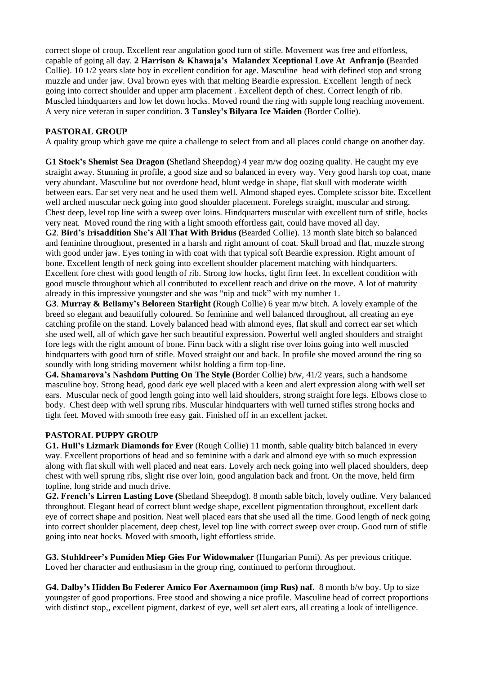correct slope of croup. Excellent rear angulation good turn of stifle. Movement was free and effortless, capable of going all day. **2 Harrison & Khawaja's Malandex Xceptional Love At Anfranjo (**Bearded Collie). 10 1/2 years slate boy in excellent condition for age. Masculine head with defined stop and strong muzzle and under jaw. Oval brown eyes with that melting Beardie expression. Excellent length of neck going into correct shoulder and upper arm placement . Excellent depth of chest. Correct length of rib. Muscled hindquarters and low let down hocks. Moved round the ring with supple long reaching movement. A very nice veteran in super condition. **3 Tansley's Bilyara Ice Maiden** (Border Collie).

# **PASTORAL GROUP**

A quality group which gave me quite a challenge to select from and all places could change on another day.

**G1 Stock's Shemist Sea Dragon (**Shetland Sheepdog) 4 year m/w dog oozing quality. He caught my eye straight away. Stunning in profile, a good size and so balanced in every way. Very good harsh top coat, mane very abundant. Masculine but not overdone head, blunt wedge in shape, flat skull with moderate width between ears. Ear set very neat and he used them well. Almond shaped eyes. Complete scissor bite. Excellent well arched muscular neck going into good shoulder placement. Forelegs straight, muscular and strong. Chest deep, level top line with a sweep over loins. Hindquarters muscular with excellent turn of stifle, hocks very neat. Moved round the ring with a light smooth effortless gait, could have moved all day.

**G2**. **Bird's Irisaddition She's All That With Bridus (**Bearded Collie). 13 month slate bitch so balanced and feminine throughout, presented in a harsh and right amount of coat. Skull broad and flat, muzzle strong with good under jaw. Eyes toning in with coat with that typical soft Beardie expression. Right amount of bone. Excellent length of neck going into excellent shoulder placement matching with hindquarters. Excellent fore chest with good length of rib. Strong low hocks, tight firm feet. In excellent condition with good muscle throughout which all contributed to excellent reach and drive on the move. A lot of maturity already in this impressive youngster and she was "nip and tuck" with my number 1.

**G3**. **Murray & Bellamy's Beloreen Starlight (**Rough Collie) 6 year m/w bitch. A lovely example of the breed so elegant and beautifully coloured. So feminine and well balanced throughout, all creating an eye catching profile on the stand. Lovely balanced head with almond eyes, flat skull and correct ear set which she used well, all of which gave her such beautiful expression. Powerful well angled shoulders and straight fore legs with the right amount of bone. Firm back with a slight rise over loins going into well muscled hindquarters with good turn of stifle. Moved straight out and back. In profile she moved around the ring so soundly with long striding movement whilst holding a firm top-line.

**G4. Shamarova's Nashdom Putting On The Style (**Border Collie) b/w, 41/2 years, such a handsome masculine boy. Strong head, good dark eye well placed with a keen and alert expression along with well set ears. Muscular neck of good length going into well laid shoulders, strong straight fore legs. Elbows close to body. Chest deep with well sprung ribs. Muscular hindquarters with well turned stifles strong hocks and tight feet. Moved with smooth free easy gait. Finished off in an excellent jacket.

# **PASTORAL PUPPY GROUP**

**G1. Hull's Lizmark Diamonds for Ever** (Rough Collie) 11 month, sable quality bitch balanced in every way. Excellent proportions of head and so feminine with a dark and almond eye with so much expression along with flat skull with well placed and neat ears. Lovely arch neck going into well placed shoulders, deep chest with well sprung ribs, slight rise over loin, good angulation back and front. On the move, held firm topline, long stride and much drive.

**G2. French's Lirren Lasting Love (**Shetland Sheepdog). 8 month sable bitch, lovely outline. Very balanced throughout. Elegant head of correct blunt wedge shape, excellent pigmentation throughout, excellent dark eye of correct shape and position. Neat well placed ears that she used all the time. Good length of neck going into correct shoulder placement, deep chest, level top line with correct sweep over croup. Good turn of stifle going into neat hocks. Moved with smooth, light effortless stride.

**G3. Stuhldreer's Pumiden Miep Gies For Widowmaker** (Hungarian Pumi). As per previous critique. Loved her character and enthusiasm in the group ring, continued to perform throughout.

**G4. Dalby's Hidden Bo Federer Amico For Axernamoon (imp Rus) naf.** 8 month b/w boy. Up to size youngster of good proportions. Free stood and showing a nice profile. Masculine head of correct proportions with distinct stop,, excellent pigment, darkest of eye, well set alert ears, all creating a look of intelligence.